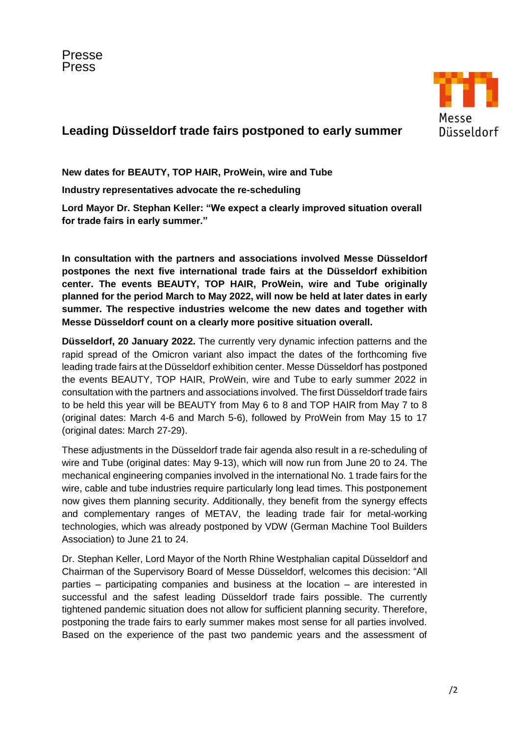

# **Leading Düsseldorf trade fairs postponed to early summer**

**New dates for BEAUTY, TOP HAIR, ProWein, wire and Tube**

**Industry representatives advocate the re-scheduling**

**Lord Mayor Dr. Stephan Keller: "We expect a clearly improved situation overall for trade fairs in early summer."**

**In consultation with the partners and associations involved Messe Düsseldorf postpones the next five international trade fairs at the Düsseldorf exhibition center. The events BEAUTY, TOP HAIR, ProWein, wire and Tube originally planned for the period March to May 2022, will now be held at later dates in early summer. The respective industries welcome the new dates and together with Messe Düsseldorf count on a clearly more positive situation overall.** 

**Düsseldorf, 20 January 2022.** The currently very dynamic infection patterns and the rapid spread of the Omicron variant also impact the dates of the forthcoming five leading trade fairs at the Düsseldorf exhibition center. Messe Düsseldorf has postponed the events BEAUTY, TOP HAIR, ProWein, wire and Tube to early summer 2022 in consultation with the partners and associations involved. The first Düsseldorf trade fairs to be held this year will be BEAUTY from May 6 to 8 and TOP HAIR from May 7 to 8 (original dates: March 4-6 and March 5-6), followed by ProWein from May 15 to 17 (original dates: March 27-29).

These adjustments in the Düsseldorf trade fair agenda also result in a re-scheduling of wire and Tube (original dates: May 9-13), which will now run from June 20 to 24. The mechanical engineering companies involved in the international No. 1 trade fairs for the wire, cable and tube industries require particularly long lead times. This postponement now gives them planning security. Additionally, they benefit from the synergy effects and complementary ranges of METAV, the leading trade fair for metal-working technologies, which was already postponed by VDW (German Machine Tool Builders Association) to June 21 to 24.

Dr. Stephan Keller, Lord Mayor of the North Rhine Westphalian capital Düsseldorf and Chairman of the Supervisory Board of Messe Düsseldorf, welcomes this decision: "All parties – participating companies and business at the location – are interested in successful and the safest leading Düsseldorf trade fairs possible. The currently tightened pandemic situation does not allow for sufficient planning security. Therefore, postponing the trade fairs to early summer makes most sense for all parties involved. Based on the experience of the past two pandemic years and the assessment of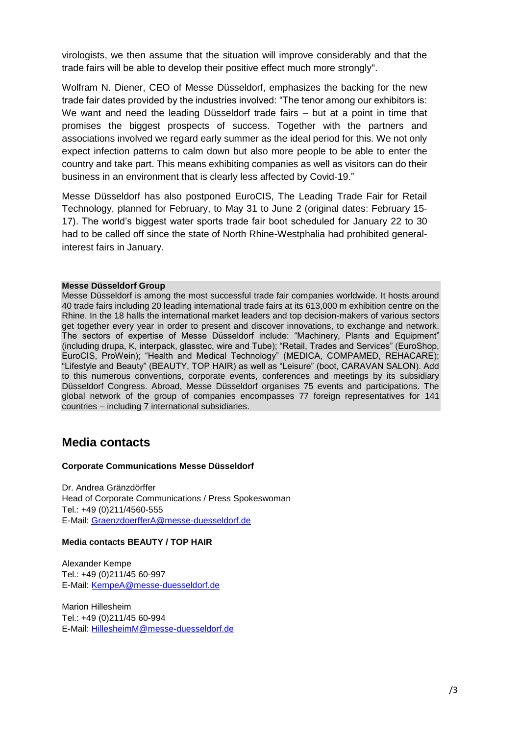virologists, we then assume that the situation will improve considerably and that the trade fairs will be able to develop their positive effect much more strongly".

Wolfram N. Diener, CEO of Messe Düsseldorf, emphasizes the backing for the new trade fair dates provided by the industries involved: "The tenor among our exhibitors is: We want and need the leading Düsseldorf trade fairs – but at a point in time that promises the biggest prospects of success. Together with the partners and associations involved we regard early summer as the ideal period for this. We not only expect infection patterns to calm down but also more people to be able to enter the country and take part. This means exhibiting companies as well as visitors can do their business in an environment that is clearly less affected by Covid-19."

Messe Düsseldorf has also postponed EuroCIS, The Leading Trade Fair for Retail Technology, planned for February, to May 31 to June 2 (original dates: February 15- 17). The world's biggest water sports trade fair boot scheduled for January 22 to 30 had to be called off since the state of North Rhine-Westphalia had prohibited generalinterest fairs in January.

#### **Messe Düsseldorf Group**

Messe Düsseldorf is among the most successful trade fair companies worldwide. It hosts around 40 trade fairs including 20 leading international trade fairs at its 613,000 m exhibition centre on the Rhine. In the 18 halls the international market leaders and top decision-makers of various sectors get together every year in order to present and discover innovations, to exchange and network. The sectors of expertise of Messe Düsseldorf include: "Machinery, Plants and Equipment" (including drupa, K, interpack, glasstec, wire and Tube); "Retail, Trades and Services" (EuroShop, EuroCIS, ProWein); "Health and Medical Technology" (MEDICA, COMPAMED, REHACARE); "Lifestyle and Beauty" (BEAUTY, TOP HAIR) as well as "Leisure" (boot, CARAVAN SALON). Add to this numerous conventions, corporate events, conferences and meetings by its subsidiary Düsseldorf Congress. Abroad, Messe Düsseldorf organises 75 events and participations. The global network of the group of companies encompasses 77 foreign representatives for 141 countries – including 7 international subsidiaries.

## **Media contacts**

#### **Corporate Communications Messe Düsseldorf**

Dr. Andrea Gränzdörffer Head of Corporate Communications / Press Spokeswoman Tel.: +49 (0)211/4560-555 E-Mail: [GraenzdoerfferA@messe-duesseldorf.de](mailto:GraenzdoerfferA@messe-duesseldorf.de)

#### **Media contacts BEAUTY / TOP HAIR**

Alexander Kempe Tel.: +49 (0)211/45 60-997 E-Mail: [KempeA@messe-duesseldorf.de](mailto:KempeA@messe-duesseldorf.de)

Marion Hillesheim Tel.: +49 (0)211/45 60-994 E-Mail: [HillesheimM@messe-duesseldorf.de](mailto:HillesheimM@messe-duesseldorf.de)